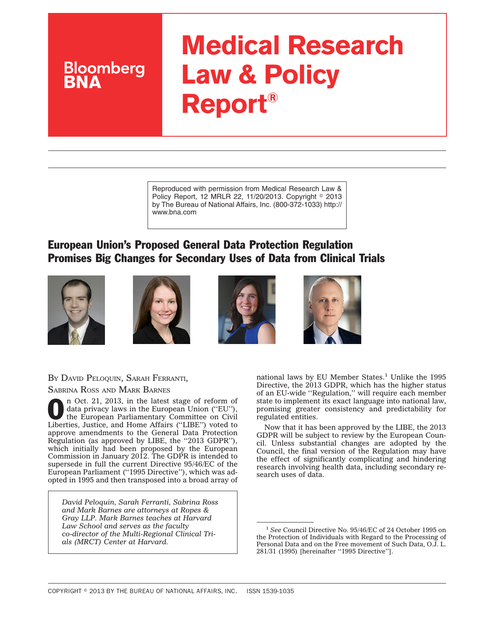# **Medical Research Law & Policy Report®**

Reproduced with permission from Medical Research Law & Policy Report, 12 MRLR 22, 11/20/2013. Copyright © 2013 by The Bureau of National Affairs, Inc. (800-372-1033) http:// www.bna.com

## European Union's Proposed General Data Protection Regulation Promises Big Changes for Secondary Uses of Data from Clinical Trials









BY DAVID PELOQUIN, SARAH FERRANTI, SABRINA ROSS AND MARK BARNES

**Bloomberg** 

**O n** Oct. 21, 2013, in the latest stage of reform of data privacy laws in the European Union ("EU"), the European Parliamentary Committee on Civil data privacy laws in the European Union (''EU''), Liberties, Justice, and Home Affairs (''LIBE'') voted to approve amendments to the General Data Protection Regulation (as approved by LIBE, the ''2013 GDPR''), which initially had been proposed by the European Commission in January 2012. The GDPR is intended to supersede in full the current Directive 95/46/EC of the European Parliament (''1995 Directive''), which was adopted in 1995 and then transposed into a broad array of

*David Peloquin, Sarah Ferranti, Sabrina Ross and Mark Barnes are attorneys at Ropes & Gray LLP. Mark Barnes teaches at Harvard Law School and serves as the faculty co-director of the Multi-Regional Clinical Trials (MRCT) Center at Harvard.*

national laws by EU Member States.<sup>1</sup> Unlike the 1995 Directive, the 2013 GDPR, which has the higher status of an EU-wide ''Regulation,'' will require each member state to implement its exact language into national law, promising greater consistency and predictability for regulated entities.

Now that it has been approved by the LIBE, the 2013 GDPR will be subject to review by the European Council. Unless substantial changes are adopted by the Council, the final version of the Regulation may have the effect of significantly complicating and hindering research involving health data, including secondary research uses of data.

<sup>1</sup> *See* Council Directive No. 95/46/EC of 24 October 1995 on the Protection of Individuals with Regard to the Processing of Personal Data and on the Free movement of Such Data, O.J. L. 281/31 (1995) [hereinafter ''1995 Directive''].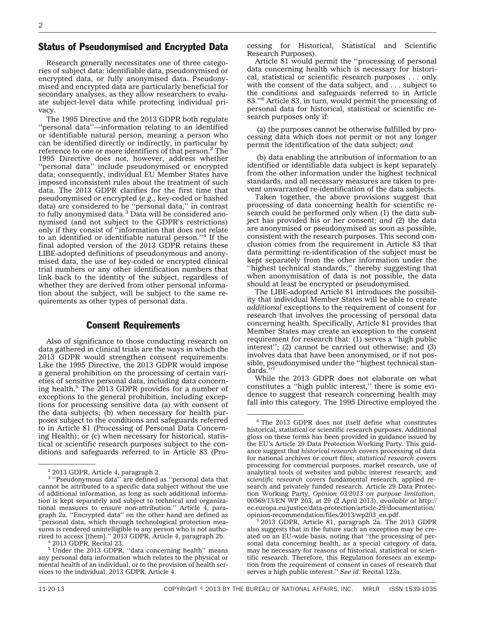## Status of Pseudonymised and Encrypted Data

Research generally necessitates one of three categories of subject data: identifiable data, pseudonymised or encrypted data, or fully anonymised data. Pseudonymised and encrypted data are particularly beneficial for secondary analyses, as they allow researchers to evaluate subject-level data while protecting individual privacy.

The 1995 Directive and the 2013 GDPR both regulate ''personal data''—information relating to an identified or identifiable natural person, meaning a person who can be identified directly or indirectly, in particular by reference to one or more identifiers of that person.<sup>2</sup> The 1995 Directive does not, however, address whether ''personal data'' include pseudonymised or encrypted data; consequently, individual EU Member States have imposed inconsistent rules about the treatment of such data. The 2013 GDPR clarifies for the first time that pseudonymised or encrypted (*e.g.*, key-coded or hashed data) *are* considered to be ''personal data,'' in contrast to fully anonymised data.<sup>3</sup> Data will be considered anonymised (and not subject to the GDPR's restrictions) only if they consist of ''information that does not relate to an identified or identifiable natural person."<sup>4</sup> If the final adopted version of the 2013 GDPR retains these LIBE-adopted definitions of pseudonymous and anonymised data, the use of key-coded or encrypted clinical trial numbers or any other identification numbers that link back to the identity of the subject, regardless of whether they are derived from other personal information about the subject, will be subject to the same requirements as other types of personal data.

## Consent Requirements

Also of significance to those conducting research on data gathered in clinical trials are the ways in which the 2013 GDPR would strengthen consent requirements. Like the 1995 Directive, the 2013 GDPR would impose a general prohibition on the processing of certain varieties of sensitive personal data, including data concerning health.<sup>5</sup> The 2013 GDPR provides for a number of exceptions to the general prohibition, including exceptions for processing sensitive data (a) with consent of the data subjects; (b) when necessary for health purposes subject to the conditions and safeguards referred to in Article 81 (Processing of Personal Data Concerning Health); or (c) when necessary for historical, statistical or scientific research purposes subject to the conditions and safeguards referred to in Article 83 (Pro-

cessing for Historical, Statistical and Scientific Research Purposes).

Article 81 would permit the ''processing of personal data concerning health which is necessary for historical, statistical or scientific research purposes . . . only with the consent of the data subject, and . . . subject to the conditions and safeguards referred to in Article 83.''6 Article 83, in turn, would permit the processing of personal data for historical, statistical or scientific research purposes only if:

(a) the purposes cannot be otherwise fulfilled by processing data which does not permit or not any longer permit the identification of the data subject; *and*

(b) data enabling the attribution of information to an identified or identifiable data subject is kept separately from the other information under the highest technical standards, and all necessary measures are taken to prevent unwarranted re-identification of the data subjects.

Taken together, the above provisions suggest that processing of data concerning health for scientific research could be performed only when (1) the data subject has provided his or her consent; *and* (2) the data are anonymised or pseudonymised as soon as possible, consistent with the research purposes. This second conclusion comes from the requirement in Article 83 that data permitting re-identification of the subject must be kept separately from the other information under the ''highest technical standards,'' thereby suggesting that when anonymisation of data is not possible, the data should at least be encrypted or pseudonymised.

The LIBE-adopted Article 81 introduces the possibility that individual Member States will be able to create *additional* exceptions to the requirement of consent for research that involves the processing of personal data concerning health. Specifically, Article 81 provides that Member States may create an exception to the consent requirement for research that: (1) serves a ''high public interest''; (2) cannot be carried out otherwise; and (3) involves data that have been anonymised, or if not possible, pseudonymised under the ''highest technical standards.''7

While the 2013 GDPR does not elaborate on what constitutes a ''high public interest,'' there is some evidence to suggest that research concerning health may fall into this category. The 1995 Directive employed the

<sup>&</sup>lt;sup>2</sup> 2013 GDPR, Article 4, paragraph 2.

<sup>&</sup>lt;sup>3</sup> "Pseudonymous data" are defined as "personal data that cannot be attributed to a specific data subject without the use of additional information, as long as such additional information is kept separately and subject to technical and organizational measures to ensure non-attribution.'' Article 4, paragraph 2a. ''Encrypted data'' on the other hand are defined as 'personal data, which through technological protection measures is rendered unintelligible to any person who is not authorized to access [them].'' 2013 GDPR, Article 4, paragraph 2b. <sup>4</sup> 2013 GDPR, Recital 23.

<sup>5</sup> Under the 2013 GDPR, ''data concerning health'' means any personal data information which relates to the physical or mental health of an individual, or to the provision of health services to the individual. 2013 GDPR, Article 4.

<sup>6</sup> The 2013 GDPR does not itself define what constitutes historical, statistical or scientific research purposes. Additional gloss on these terms has been provided in guidance issued by the EU's Article 29 Data Protection Working Party. This guidance suggest that *historical research* covers processing of data for national archives or court files; *statistical research* covers processing for commercial purposes, market research, use of analytical tools of websites and public interest research; and *scientific research* covers fundamental research, applied research and privately funded research. Article 29 Data Protection Working Party, *Opinion 03/2013 on purpose limitation*, 00569/13/EN WP 203, at 29 (2 April 2013), *available at* [http://](http://ec.europa.eu/justice/data-protection/article-29/documentation/opinion-recommendation/files/2013/wp203_en.pdf) [ec.europa.eu/justice/data-protection/article-29/documentation/](http://ec.europa.eu/justice/data-protection/article-29/documentation/opinion-recommendation/files/2013/wp203_en.pdf)

 $\frac{7}{2013}$  GDPR, Article 81, paragraph 2a. The 2013 GDPR also suggests that in the future such an exception may be created on an EU-wide basis, noting that ''the processing of personal data concerning health, as a special category of data, may be necessary for reasons of historical, statistical or scientific research. Therefore, this Regulation foresees an exemption from the requirement of consent in cases of research that serves a high public interest.'' *See id*. Recital 123a.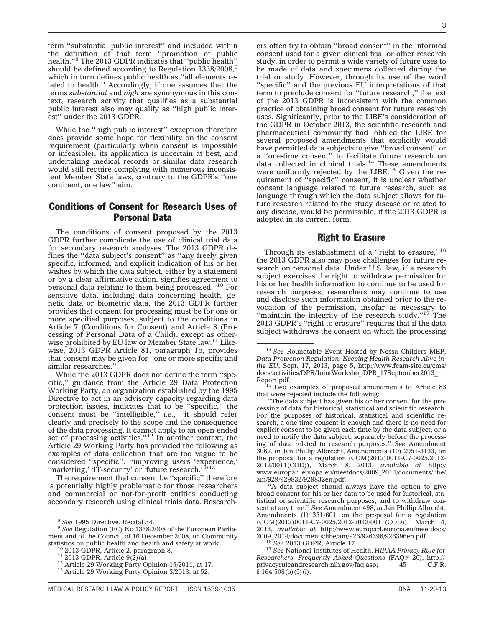term ''substantial public interest'' and included within the definition of that term ''promotion of public health.''8 The 2013 GDPR indicates that ''public health'' should be defined according to Regulation 1338/2008,<sup>9</sup> which in turn defines public health as ''all elements related to health.'' Accordingly, if one assumes that the terms *substantial* and *high* are synonymous in this context, research activity that qualifies as a substantial public interest also may qualify as ''high public interest'' under the 2013 GDPR.

While the ''high public interest'' exception therefore does provide some hope for flexibility on the consent requirement (particularly when consent is impossible or infeasible), its application is uncertain at best, and undertaking medical records or similar data research would still require complying with numerous inconsistent Member State laws, contrary to the GDPR's ''one continent, one law'' aim.

## Conditions of Consent for Research Uses of Personal Data

The conditions of consent proposed by the 2013 GDPR further complicate the use of clinical trial data for secondary research analyses. The 2013 GDPR defines the ''data subject's consent'' as ''any freely given specific, informed, and explicit indication of his or her wishes by which the data subject, either by a statement or by a clear affirmative action, signifies agreement to personal data relating to them being processed.''10 For sensitive data, including data concerning health, genetic data or biometric data, the 2013 GDPR further provides that consent for processing must be for one or more specified purposes, subject to the conditions in Article 7 (Conditions for Consent) and Article 8 (Processing of Personal Data of a Child), except as otherwise prohibited by EU law or Member State law.<sup>11</sup> Likewise, 2013 GDPR Article 81, paragraph 1b, provides that consent may be given for ''one or more specific and similar researches.''

While the 2013 GDPR does not define the term ''specific,'' guidance from the Article 29 Data Protection Working Party, an organization established by the 1995 Directive to act in an advisory capacity regarding data protection issues, indicates that to be ''specific,'' the consent must be ''intelligible,'' *i.e.*, ''it should refer clearly and precisely to the scope and the consequence of the data processing. It cannot apply to an open-ended set of processing activities."<sup>12</sup> In another context, the Article 29 Working Party has provided the following as examples of data collection that are too vague to be considered ''specific'': ''improving users 'experience,' 'marketing,' 'IT-security' or 'future research.' "13

The requirement that consent be ''specific'' therefore is potentially highly problematic for those researchers and commercial or not-for-profit entities conducting secondary research using clinical trials data. Researchers often try to obtain ''broad consent'' in the informed consent used for a given clinical trial or other research study, in order to permit a wide variety of future uses to be made of data and specimens collected during the trial or study. However, through its use of the word ''specific'' and the previous EU interpretations of that term to preclude consent for ''future research,'' the text of the 2013 GDPR is inconsistent with the common practice of obtaining broad consent for future research uses. Significantly, prior to the LIBE's consideration of the GDPR in October 2013, the scientific research and pharmaceutical community had lobbied the LIBE for several proposed amendments that explicitly would have permitted data subjects to give ''broad consent'' or a ''one-time consent'' to facilitate future research on data collected in clinical trials. $14$  These amendments were uniformly rejected by the LIBE.<sup>15</sup> Given the requirement of ''specific'' consent, it is unclear whether consent language related to future research, such as language through which the data subject allows for future research related to the study disease or related to any disease, would be permissible, if the 2013 GDPR is adopted in its current form.

#### Right to Erasure

Through its establishment of a "right to erasure,"<sup>16</sup> the 2013 GDPR also may pose challenges for future research on personal data. Under U.S. law, if a research subject exercises the right to withdraw permission for his or her health information to continue to be used for research purposes, researchers may continue to use and disclose such information obtained prior to the revocation of the permission, insofar as necessary to "maintain the integrity of the research study." $17$  The 2013 GDPR's ''right to erasure'' requires that if the data subject withdraws the consent on which the processing

''The data subject has given his or her consent for the processing of data for historical, statistical and scientific research. For the purposes of historical, statistical and scientific research, a one-time consent is enough and there is no need for explicit consent to be given each time by the data subject, or a need to notify the data subject, separately before the processing of data related to research purposes.'' *See* Amendment 3067, *in* Jan Phillip Albrecht, Amendments (10) 2951-3133, on the proposal for a regulation (COM(2012)0011-C7-0025/2012-2012/0011(COD)), March 8, 2013, *available at* [http://](http://www.europarl.europa.eu/meetdocs/2009_2014/documents/libe/am/929/929832/929832en.pdf) [www.europarl.europa.eu/meetdocs/2009\\_2014/documents/libe/](http://www.europarl.europa.eu/meetdocs/2009_2014/documents/libe/am/929/929832/929832en.pdf) [am/929/929832/929832en.pdf.](http://www.europarl.europa.eu/meetdocs/2009_2014/documents/libe/am/929/929832/929832en.pdf)

''A data subject should always have the option to give broad consent for his or her data to be used for historical, statistical or scientific research purposes, and to withdraw consent at any time.'' *See* Amendment 498, *in* Jan Phillip Albrecht, Amendments (1) 351-601, on the proposal for a regulation (COM(2012)0011-C7-0025/2012-2012/0011(COD)), March 4, 2013, *available at* [http://www.europarl.europa.eu/meetdocs/](http://www.europarl.europa.eu/meetdocs/2009_2014/documents/libe/am/926/926396/926396en.pdf)

<sup>16</sup>See 2013 GDPR, Article 17.<br><sup>17</sup> See National Institutes of Health, *HIPAA Privacy Rule for Researchers: Frequently Asked Questions* (FAQ# 20), [http://](http://privacyruleandresearch.nih.gov/faq.asp) [privacyruleandresearch.nih.gov/faq.asp;](http://privacyruleandresearch.nih.gov/faq.asp) 45  $§ 164.508(b)(5)(i).$ 

<sup>&</sup>lt;sup>8</sup> See 1995 Directive, Recital 34.<br><sup>9</sup> See Regulation (EC) No 1338/2008 of the European Parliament and of the Council, of 16 December 2008, on Community<br>statistics on public health and health and safety at work.

<sup>&</sup>lt;sup>10</sup> 2013 GDPR, Article 2, paragraph 8.<br><sup>11</sup> 2013 GDPR, Article 9(2)(a).<br><sup>12</sup> Article 29 Working Party Opinion 15/2011, at 17.<br><sup>13</sup> Article 29 Working Party Opinion 3/2013, at 52.

<sup>14</sup> *See* Roundtable Event Hosted by Nessa Childers MEP, *Data Protection Regulation: Keeping Health Research Alive in the EU*, Sept. 17, 2013, page 5, [http://www.feam-site.eu/cms/](http://www.feam-site.eu/cms/docs/activities/DPR/JointWorkshopDPR_17September2013_Report.pdf) [docs/activities/DPR/JointWorkshopDPR\\_17September2013\\_](http://www.feam-site.eu/cms/docs/activities/DPR/JointWorkshopDPR_17September2013_Report.pdf)

[Report.pdf.](http://www.feam-site.eu/cms/docs/activities/DPR/JointWorkshopDPR_17September2013_Report.pdf) <sup>15</sup> Two examples of proposed amendments to Article 83 that were rejected include the following: